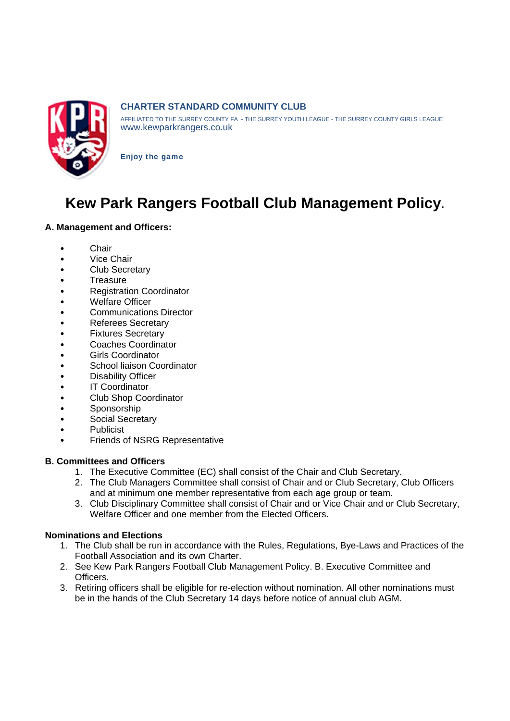

# **CHARTER STANDARD COMMUNITY CLUB**

AFFILIATED TO THE SURREY COUNTY FA - THE SURREY YOUTH LEAGUE - THE SURREY COUNTY GIRLS LEAGUE www.kewparkrangers.co.uk

**Enjoy the game** 

# Kew Park Rangers Football Club Management Policy.

# A. Management and Officers:

- Chair  $\bullet$
- Vice Chair  $\bullet$
- **Club Secretary**  $\bullet$
- Treasure  $\bullet$
- **Registration Coordinator**
- **Welfare Officer**  $\bullet$
- $\bullet$ **Communications Director**
- **Referees Secretary**  $\bullet$
- **Fixtures Secretary**
- Coaches Coordinator  $\bullet$
- **Girls Coordinator**  $\bullet$
- School liaison Coordinator  $\bullet$
- **Disability Officer**  $\bullet$
- $\bullet$ **IT Coordinator**
- **Club Shop Coordinator**  $\bullet$
- Sponsorship
- Social Secretary  $\bullet$
- Publicist  $\bullet$
- **Friends of NSRG Representative**

#### **B. Committees and Officers**

- 1. The Executive Committee (EC) shall consist of the Chair and Club Secretary.
- 2. The Club Managers Committee shall consist of Chair and or Club Secretary, Club Officers and at minimum one member representative from each age group or team.
- 3. Club Disciplinary Committee shall consist of Chair and or Vice Chair and or Club Secretary. Welfare Officer and one member from the Elected Officers.

# **Nominations and Elections**

- 1. The Club shall be run in accordance with the Rules, Regulations, Bye-Laws and Practices of the Football Association and its own Charter.
- 2. See Kew Park Rangers Football Club Management Policy. B. Executive Committee and Officers.
- 3. Retiring officers shall be eligible for re-election without nomination. All other nominations must be in the hands of the Club Secretary 14 days before notice of annual club AGM.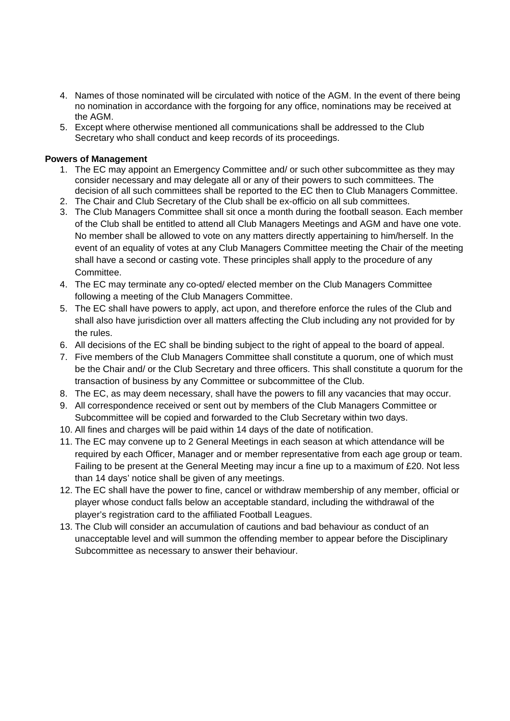- 4. Names of those nominated will be circulated with notice of the AGM. In the event of there being no nomination in accordance with the forgoing for any office, nominations may be received at the AGM.
- 5. Except where otherwise mentioned all communications shall be addressed to the Club Secretary who shall conduct and keep records of its proceedings.

#### **Powers of Management**

- 1. The EC may appoint an Emergency Committee and/ or such other subcommittee as they may consider necessary and may delegate all or any of their powers to such committees. The decision of all such committees shall be reported to the EC then to Club Managers Committee.
- 2. The Chair and Club Secretary of the Club shall be ex-officio on all sub committees.
- 3. The Club Managers Committee shall sit once a month during the football season. Each member of the Club shall be entitled to attend all Club Managers Meetings and AGM and have one vote. No member shall be allowed to vote on any matters directly appertaining to him/herself. In the event of an equality of votes at any Club Managers Committee meeting the Chair of the meeting shall have a second or casting vote. These principles shall apply to the procedure of any Committee.
- 4. The EC may terminate any co-opted/ elected member on the Club Managers Committee following a meeting of the Club Managers Committee.
- 5. The EC shall have powers to apply, act upon, and therefore enforce the rules of the Club and shall also have jurisdiction over all matters affecting the Club including any not provided for by the rules.
- 6. All decisions of the EC shall be binding subject to the right of appeal to the board of appeal.
- 7. Five members of the Club Managers Committee shall constitute a quorum, one of which must be the Chair and/ or the Club Secretary and three officers. This shall constitute a quorum for the transaction of business by any Committee or subcommittee of the Club.
- 8. The EC, as may deem necessary, shall have the powers to fill any vacancies that may occur.
- 9. All correspondence received or sent out by members of the Club Managers Committee or Subcommittee will be copied and forwarded to the Club Secretary within two days.
- 10. All fines and charges will be paid within 14 days of the date of notification.
- 11. The EC may convene up to 2 General Meetings in each season at which attendance will be required by each Officer, Manager and or member representative from each age group or team. Failing to be present at the General Meeting may incur a fine up to a maximum of £20. Not less than 14 days' notice shall be given of any meetings.
- 12. The EC shall have the power to fine, cancel or withdraw membership of any member, official or player whose conduct falls below an acceptable standard, including the withdrawal of the player's registration card to the affiliated Football Leagues.
- 13. The Club will consider an accumulation of cautions and bad behaviour as conduct of an unacceptable level and will summon the offending member to appear before the Disciplinary Subcommittee as necessary to answer their behaviour.